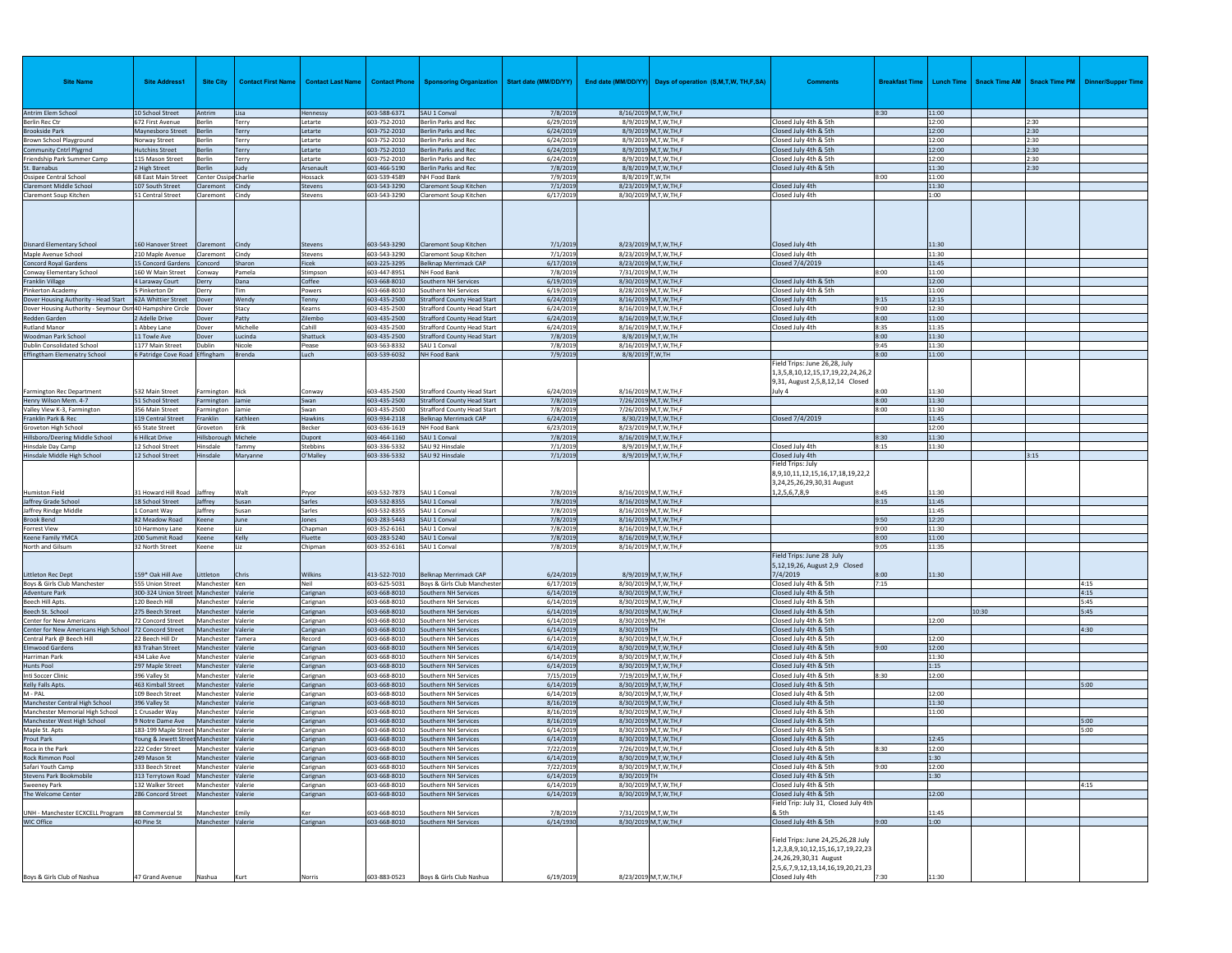| <b>Site Name</b>                                                  | <b>Site Address1</b>                           | <b>Site City</b>                         | <b>Contact First Name</b> | <b>Contact Last Name</b> | <b>Contact Phone</b>         | Sponsoring Organization   Start date (MM/DD/YY)                          |                        |                    | End date (MM/DD/YY) Days of operation (S,M,T,W, TH,F,SA) | <b>Comments</b>                                                                                                                                           | <b>Breakfast Time</b> |                | Lunch Time   Snack Time AM   Snack Time PM |              | <b>Dinner/Supper Time</b> |
|-------------------------------------------------------------------|------------------------------------------------|------------------------------------------|---------------------------|--------------------------|------------------------------|--------------------------------------------------------------------------|------------------------|--------------------|----------------------------------------------------------|-----------------------------------------------------------------------------------------------------------------------------------------------------------|-----------------------|----------------|--------------------------------------------|--------------|---------------------------|
| Antrim Elem School                                                | 10 School Street                               | Antrim                                   | Lisa                      | Hennessy                 | 603-588-6371                 | SAU 1 Conval                                                             | 7/8/2019               |                    | 8/16/2019 M,T,W,TH,F                                     |                                                                                                                                                           | 8:30                  | 11:00          |                                            |              |                           |
| <b>Berlin Rec Ctr</b>                                             | 672 First Avenue                               | Berlin                                   | Terry                     | Letarte                  | 603-752-2010                 | Berlin Parks and Rec                                                     | 6/29/2019              |                    | 8/9/2019 M,T,W,TH,F                                      | Closed July 4th & 5th                                                                                                                                     |                       | 12:00          |                                            | 2:30         |                           |
| <b>Brookside Park</b>                                             | Maynesboro Street                              | Berlin                                   | Terry                     | Letarte                  | 603-752-2010                 | Berlin Parks and Rec                                                     | 6/24/2019              |                    | 8/9/2019 M,T,W,TH,F                                      | Closed July 4th & 5th                                                                                                                                     |                       | 12:00          |                                            | 2:30         |                           |
| Brown School Playground                                           | Norway Street                                  | Berlin                                   | Terry                     | Letarte                  | 603-752-2010                 | Berlin Parks and Rec<br>Berlin Parks and Rec                             | 6/24/2019              |                    | 8/9/2019 M,T,W,TH, F<br>8/9/2019 M,T,W,TH,F              | Closed July 4th & 5th                                                                                                                                     |                       | 12:00          |                                            | 2:30<br>2:30 |                           |
| <b>Community Cntrl Plygrnd</b><br>Friendship Park Summer Camp     | <b>Hutchins Street</b><br>115 Mason Street     | Berlin<br>Berlin                         | Terry<br>Terry            | Letarte<br>Letarte       | 603-752-2010<br>603-752-2010 | Berlin Parks and Rec                                                     | 6/24/2019<br>6/24/2019 |                    | 8/9/2019 M,T,W,TH,F                                      | Closed July 4th & 5th<br>Closed July 4th & 5th                                                                                                            |                       | 12:00<br>12:00 |                                            | 2:30         |                           |
| Barnabus                                                          | 2 High Street                                  | Berlin                                   | Judy                      | Arsenault                | 603-466-5190                 | Berlin Parks and Rec                                                     | 7/8/2019               |                    | 8/8/2019 M,T,W,TH,F                                      | Closed July 4th & 5th                                                                                                                                     |                       | 11:30          |                                            | 2:30         |                           |
| Ossipee Central School                                            | 68 East Main Street                            | Center Ossipe Charlie                    |                           | Hossack                  | 603-539-4589                 | NH Food Bank                                                             | 7/9/2019               | 8/8/2019 T, W, TH  |                                                          |                                                                                                                                                           | 8:00                  | 11:00          |                                            |              |                           |
| Claremont Middle School                                           | 107 South Street                               | Claremont Cindy                          |                           | <b>Stevens</b>           | 603-543-3290                 | Claremont Soup Kitchen                                                   | 7/1/2019               |                    | 8/23/2019 M,T,W,TH,F                                     | Closed July 4th                                                                                                                                           |                       | 11:30          |                                            |              |                           |
| Claremont Soup Kitchen                                            | 51 Central Street                              | Claremont Cindy                          |                           | Stevens                  | 603-543-3290                 | Claremont Soup Kitchen                                                   | 6/17/2019              |                    | 8/30/2019 M,T,W,TH,F                                     | Closed July 4th                                                                                                                                           |                       | 1:00           |                                            |              |                           |
| <b>Disnard Elementary School</b>                                  | 60 Hanover Street                              | Claremont                                | Cindy                     | Stevens                  | 603-543-3290                 | Claremont Soup Kitchen                                                   | 7/1/2019               |                    | 8/23/2019 M,T,W,TH,F                                     | Closed July 4th                                                                                                                                           |                       | 11:30          |                                            |              |                           |
| Maple Avenue School<br><b>Concord Royal Gardens</b>               | 210 Maple Avenue<br>15 Concord Gardens Concord | Claremont                                | Cindy<br>Sharon           | Stevens<br>Ficek         | 603-543-3290<br>603-225-3295 | Claremont Soup Kitchen<br>Belknap Merrimack CAP                          | 7/1/2019<br>6/17/2019  |                    | 8/23/2019 M,T,W,TH,F<br>8/23/2019 M,T,W,TH,F             | Closed July 4th<br>Closed 7/4/2019                                                                                                                        |                       | 11:30<br>11:45 |                                            |              |                           |
| Conway Elementary School                                          | 160 W Main Street Conway                       |                                          | Pamela                    | Stimpson                 | 603-447-8951                 | NH Food Bank                                                             | 7/8/2019               | 7/31/2019 M,T,W,TH |                                                          |                                                                                                                                                           | 8:00                  | 11:00          |                                            |              |                           |
| Franklin Village                                                  | 4 Laraway Court                                | Derry                                    | Dana                      | Coffee                   | 603-668-8010                 | Southern NH Services                                                     | 6/19/2019              |                    | 8/30/2019 M,T,W,TH,F                                     | Closed July 4th & 5th                                                                                                                                     |                       | 12:00          |                                            |              |                           |
| Pinkerton Academy                                                 | 5 Pinkerton Dr                                 | Derry                                    | Tim                       | Powers                   | 603-668-8010                 | Southern NH Services                                                     | 6/19/2019              |                    | 8/28/2019 M,T,W,TH,F                                     | Closed July 4th & 5th                                                                                                                                     |                       | 11:00          |                                            |              |                           |
| Dover Housing Authority - Head Start                              | 62A Whittier Street                            | Dover                                    | Wendy                     | Tenny                    | 603-435-2500                 | <b>Strafford County Head Start</b>                                       | 6/24/2019              |                    | 8/16/2019 M,T,W,TH,F                                     | Closed July 4th                                                                                                                                           | 9:15                  | 12:15          |                                            |              |                           |
| Dover Housing Authority - Seymour Osm 40 Hampshire Circle   Dover |                                                |                                          | Stacy                     | Kearns                   | 603-435-2500                 | <b>Strafford County Head Start</b>                                       | 6/24/2019              |                    | 8/16/2019 M,T,W,TH,F                                     | Closed July 4th                                                                                                                                           | 9:00                  | 12:30          |                                            |              |                           |
| Redden Garden<br><b>Rutland Manor</b>                             | 2 Adelle Drive<br>1 Abbey Lane                 | Dover                                    | Patty<br>Michelle         | Zilembo<br>Cahill        | 603-435-2500<br>603-435-2500 | <b>Strafford County Head Start</b><br><b>Strafford County Head Start</b> | 6/24/2019<br>6/24/2019 |                    | 8/16/2019 M,T,W,TH,F<br>8/16/2019 M,T,W,TH,F             | Closed July 4th<br>Closed July 4th                                                                                                                        | 8:00<br>8:35          | 11:00<br>11:35 |                                            |              |                           |
| Woodman Park School                                               | 11 Towle Ave                                   | Dover<br>Dover                           | Lucinda                   | Shattuck                 | 603-435-2500                 | <b>Strafford County Head Start</b>                                       | 7/8/2019               |                    | 8/8/2019 M,T,W,TH                                        |                                                                                                                                                           | 8:00                  | 11:30          |                                            |              |                           |
| Dublin Consolidated School                                        | 1177 Main Street                               | Dublin                                   | Nicole                    | Pease                    | 603-563-8332                 | SAU 1 Conval                                                             | 7/8/2019               |                    | 8/16/2019 M,T,W,TH,F                                     |                                                                                                                                                           | 9:45                  | 11:30          |                                            |              |                           |
| <b>Effingtham Elemenatry School</b>                               | 6 Patridge Cove Road Effingham                 |                                          | Brenda                    | Luch                     | 603-539-6032                 | NH Food Bank                                                             | 7/9/2019               | 8/8/2019 T, W, TH  |                                                          |                                                                                                                                                           | 8:00                  | 11:00          |                                            |              |                           |
|                                                                   |                                                |                                          |                           |                          |                              |                                                                          |                        |                    |                                                          | Field Trips: June 26,28, July<br>1,3,5,8,10,12,15,17,19,22,24,26,2<br>9,31, August 2,5,8,12,14 Closed                                                     |                       |                |                                            |              |                           |
| Farmington Rec Department                                         | 532 Main Street                                | Farmington Rick                          |                           | Conway                   | 603-435-2500                 | <b>Strafford County Head Start</b>                                       | 6/24/2019              |                    | 8/16/2019 M,T,W,TH,F                                     | July 4                                                                                                                                                    | 8:00                  | 11:30          |                                            |              |                           |
| Henry Wilson Mem. 4-7<br>Valley View K-3, Farmington              | 51 School Street<br>356 Main Street            | Farmington Jamie<br>Farmington Jamie     |                           | Swan<br>Swan             | 603-435-2500<br>603-435-2500 | <b>Strafford County Head Start</b><br><b>Strafford County Head Start</b> | 7/8/2019<br>7/8/2019   |                    | 7/26/2019 M,T,W,TH,F<br>7/26/2019 M.T.W.TH.F             |                                                                                                                                                           | 8:00<br>8:00          | 11:30<br>11:30 |                                            |              |                           |
| Franklin Park & Rec                                               | 119 Central Street                             | Franklin                                 | Kathleer                  | <b>Hawkins</b>           | 603-934-2118                 | Belknap Merrimack CAP                                                    | 6/24/2019              |                    | 8/30/219 M,T,W,TH,F                                      | Closed 7/4/2019                                                                                                                                           |                       | 11:45          |                                            |              |                           |
| Groveton High School                                              | 65 State Street                                | Groveton                                 | Erik                      | Becker                   | 603-636-1619                 | NH Food Bank                                                             | 6/23/2019              |                    | 8/23/2019 M,T,W,TH,F                                     |                                                                                                                                                           |                       | 12:00          |                                            |              |                           |
| Hillsboro/Deering Middle School                                   | 6 Hillcat Drive                                | Hillsborough                             | Michele                   | Dupont                   | 603-464-1160                 | SAU 1 Conval                                                             | 7/8/2019               |                    | 8/16/2019 M,T,W,TH,F                                     |                                                                                                                                                           | 8:30                  | 11:30          |                                            |              |                           |
| Hinsdale Day Camp                                                 | 12 School Street                               | <b>linsdale</b>                          | Tammy                     | Stebbins                 | 603-336-5332                 | SAU 92 Hinsdale                                                          | 7/1/2019               |                    | 8/9/2019 M,T,W,TH,F                                      | Closed July 4th                                                                                                                                           | 8:15                  | 11:30          |                                            |              |                           |
| Hinsdale Middle High School                                       | 12 School Street                               | Hinsdale                                 | Maryanne                  | O'Malley                 | 603-336-5332                 | SAU 92 Hinsdale                                                          | 7/1/2019               |                    | 8/9/2019 M,T,W,TH,F                                      | Closed July 4th                                                                                                                                           |                       |                |                                            | 3:15         |                           |
| Humiston Field                                                    | 31 Howard Hill Road Jaffrey                    |                                          | Walt                      | Pryor                    | 603-532-7873                 | SAU 1 Conval                                                             | 7/8/201                |                    | 8/16/2019 M,T,W,TH,F                                     | ield Trips: July<br>8,9,10,11,12,15,16,17,18,19,22,2<br>3,24,25,26,29,30,31 August<br>1,2,5,6,7,8,9                                                       | 3:45                  | 11:30          |                                            |              |                           |
| Jaffrey Grade School                                              | 18 School Street                               | Jaffrey                                  | Susan                     | Sarles                   | 603-532-8355                 | SAU 1 Conval                                                             | 7/8/2019               |                    | 8/16/2019 M,T,W,TH,F                                     |                                                                                                                                                           | 8:15                  | 11:45          |                                            |              |                           |
| Jaffrey Rindge Middle                                             | 1 Conant Way                                   | Jaffrey                                  | Susar                     | Sarles                   | 603-532-8355                 | SAU 1 Conval                                                             | 7/8/2019               |                    | 8/16/2019 M,T,W,TH,F                                     |                                                                                                                                                           |                       | 11:45          |                                            |              |                           |
| <b>Brook Bend</b>                                                 | 82 Meadow Road                                 | Keene                                    | June                      | Jones                    | 603-283-5443                 | SAU 1 Conval                                                             | 7/8/2019               |                    | 8/16/2019 M,T,W,TH,F                                     |                                                                                                                                                           | 9:50                  | 12:20          |                                            |              |                           |
| <b>Forrest View</b>                                               | 10 Harmony Lane                                | Keene                                    | Liz                       | Chapman                  | 603-352-6161                 | SAU 1 Conval                                                             | 7/8/2019               |                    | 8/16/2019 M,T,W,TH,F                                     |                                                                                                                                                           | 9:00                  | 11:30          |                                            |              |                           |
| Keene Family YMCA                                                 | 200 Summit Road                                | Keene                                    | Kelly<br>l iz             | Fluette                  | 603-283-5240                 | SAU 1 Conval                                                             | 7/8/2019               |                    | 8/16/2019 M,T,W,TH,F                                     |                                                                                                                                                           | 8:00                  | 11:00          |                                            |              |                           |
| North and Gilsum<br><b>Littleton Rec Dept</b>                     | 32 North Street<br>159* Oak Hill Ave           | Keene<br>Littleton                       | Chris                     | Chipman<br>Wilkins       | 603-352-6161<br>413-522-7010 | SAU 1 Conval<br>Belknap Merrimack CAP                                    | 7/8/2019<br>6/24/2019  |                    | 8/16/2019 M,T,W,TH,F<br>8/9/2019 M,T,W,TH,F              | Field Trips: June 28 July<br>5,12,19,26, August 2,9 Closed<br>7/4/2019                                                                                    | 9;05<br>8:00          | 11:35<br>11:30 |                                            |              |                           |
| Boys & Girls Club Manchester                                      | 555 Union Street                               | Manchester Ken                           |                           | Neil                     | 603-625-5031                 | Boys & Girls Club Mancheste                                              | 6/17/2019              |                    | 8/30/2019 M,T,W,TH,F                                     | Closed July 4th & 5th                                                                                                                                     | 7:15                  |                |                                            |              | 4:15                      |
| <b>Adventure Park</b>                                             | 300-324 Union Street Manchester Valerie        |                                          |                           | Carignan                 | 603-668-8010                 | Southern NH Services                                                     | 6/14/2019              |                    | 8/30/2019 M.T.W.TH.F                                     | Closed July 4th & 5th                                                                                                                                     |                       |                |                                            |              | 4:15                      |
| <b>Beech Hill Apts</b><br>Beech St. School                        | 120 Beech Hill<br>275 Beech Street             | Manchester Valerie<br>Manchester Valerie |                           | Carignan<br>Carignan     | 603-668-8010<br>603-668-8010 | Southern NH Services<br>Southern NH Services                             | 6/14/2019<br>6/14/2019 |                    | 8/30/2019 M,T,W,TH,F<br>8/30/2019 M,T,W,TH,F             | Closed July 4th & 5th<br>Closed July 4th & 5th                                                                                                            |                       |                | 10:30                                      |              | 5:45<br>5:45              |
| Center for New Americans                                          | 72 Concord Street                              | Manchester Valerie                       |                           | Carignan                 | 603-668-8010                 | Southern NH Services                                                     | 6/14/2019              | 8/30/2019 M,TH     |                                                          | Closed July 4th & 5th                                                                                                                                     |                       | 12:00          |                                            |              |                           |
| Center for New Americans High School 72 Concord Street            |                                                | Manchester Valerie                       |                           | Carignan                 | 603-668-8010                 | Southern NH Services                                                     | 6/14/2019              | 8/30/2019 TH       |                                                          | Closed July 4th & 5th                                                                                                                                     |                       |                |                                            |              | 4:30                      |
| ntral Park @ Beech Hill                                           | 22 Beech Hill Dr                               | Manchester Tamera                        |                           | Record                   | 603-668-8010                 | Southern NH Services                                                     | 6/14/2019              |                    | 8/30/2019 M,T,W,TH,F                                     | Closed July 4th & 5th                                                                                                                                     |                       | 12:00          |                                            |              |                           |
| <b>Elmwood Gardens</b>                                            | 83 Trahan Street                               | Manchester Valerie                       |                           | Carignan                 | 603-668-8010                 | Southern NH Services                                                     | 6/14/2019              |                    | 8/30/2019 M,T,W,TH,F                                     | Closed July 4th & 5th                                                                                                                                     | 9:00                  | 12:00          |                                            |              |                           |
| Harriman Park                                                     | 434 Lake Ave                                   | Manchester Valerie                       |                           | Carignan                 | 603-668-8010                 | Southern NH Services                                                     | 6/14/2019              |                    | 8/30/2019 M,T,W,TH,F                                     | Closed July 4th & 5th                                                                                                                                     |                       | 11:30          |                                            |              |                           |
| Hunts Pool<br>Inti Soccer Clinic                                  | 297 Maple Street<br>396 Valley St              | Manchester Valerie<br>Manchester Valerie |                           | Carignan                 | 603-668-8010<br>603-668-8010 | Southern NH Services<br>outhern NH Services                              | 6/14/2019<br>7/15/2019 |                    | 8/30/2019 M,T,W,TH,F<br>7/19/2019 M,T,W,TH,F             | Closed July 4th & 5th<br>Closed July 4th & 5th                                                                                                            | 3:30                  | 1:15<br>12:00  |                                            |              |                           |
| Kelly Falls Apts.                                                 | 463 Kimball Street                             | Manchester Valerie                       |                           | Carignan<br>Carignan     | 603-668-8010                 | outhern NH Services                                                      | 6/14/2019              |                    | 8/30/2019 M,T,W,TH,F                                     | Closed July 4th & 5th                                                                                                                                     |                       |                |                                            |              | 5:00                      |
| M - PAL                                                           | 109 Beech Street                               | Manchester Valerie                       |                           | Carignan                 | 603-668-8010                 | Southern NH Services                                                     | 6/14/2019              |                    | 8/30/2019 M,T,W,TH,F                                     | Closed July 4th & 5th                                                                                                                                     |                       | 12:00          |                                            |              |                           |
| Manchester Central High School                                    | 396 Valley St                                  | Manchester Valerie                       |                           | Carignan                 | 603-668-8010                 | Southern NH Services                                                     | 8/16/2019              |                    | 8/30/2019 M.T.W.TH.F                                     | Closed July 4th & 5th                                                                                                                                     |                       | 11:30          |                                            |              |                           |
| Manchester Memorial High School                                   | 1 Crusader Way                                 | Manchester Valerie                       |                           | Carignan                 | 603-668-8010                 | outhern NH Services                                                      | 8/16/2019              |                    | 8/30/2019 M,T,W,TH,F                                     | Closed July 4th & 5th                                                                                                                                     |                       | 11:00          |                                            |              |                           |
| Manchester West High School                                       | 9 Notre Dame Ave                               | Manchester Valerie                       |                           | Carignan                 | 603-668-8010                 | outhern NH Services                                                      | 8/16/2019              |                    | 8/30/2019 M,T,W,TH,F                                     | Closed July 4th & 5th                                                                                                                                     |                       |                |                                            |              | 5:00                      |
| Maple St. Apts                                                    | 183-199 Maple Street Manchester Valerie        |                                          |                           | Carignan                 | 603-668-8010                 | Southern NH Services                                                     | 6/14/2019              |                    | 8/30/2019 M,T,W,TH,F                                     | Closed July 4th & 5th                                                                                                                                     |                       |                |                                            |              | 5:00                      |
| Prout Park                                                        | Young & Jewett Street Manchester Valerie       | Manchester Valerie                       |                           | Carignan                 | 603-668-8010                 | Southern NH Services                                                     | 6/14/2019              |                    | 8/30/2019 M,T,W,TH,F<br>7/26/2019 M,T,W,TH,F             | Closed July 4th & 5th<br>Closed July 4th & 5th                                                                                                            | 8:30                  | 12:45<br>12:00 |                                            |              |                           |
| Roca in the Park<br>Rock Rimmon Pool                              | 222 Ceder Street<br>249 Mason St               | Manchester Valerie                       |                           | Carignan<br>Carignan     | 603-668-8010<br>603-668-8010 | Southern NH Services<br>Southern NH Services                             | 7/22/2019<br>6/14/2019 |                    | 8/30/2019 M,T,W,TH,F                                     | Closed July 4th & 5th                                                                                                                                     |                       | 1:30           |                                            |              |                           |
| Safari Youth Camp                                                 | 333 Beech Street                               | Manchester Valerie                       |                           | Carignan                 | 603-668-8010                 | Southern NH Services                                                     | 7/22/2019              |                    | 8/30/2019 M,T,W,TH,F                                     | Closed July 4th & 5th                                                                                                                                     | 9:00                  | 12:00          |                                            |              |                           |
| <b>Stevens Park Bookmobile</b>                                    | 313 Terrytown Road Manchester Valerie          |                                          |                           | Carignan                 | 603-668-8010                 | Southern NH Services                                                     | 6/14/2019              | 8/30/2019 TH       |                                                          | Closed July 4th & 5th                                                                                                                                     |                       | 1:30           |                                            |              |                           |
| Sweeney Park                                                      | 132 Walker Street Manchester Valerie           |                                          |                           | Carignan                 | 603-668-8010                 | Southern NH Services                                                     | 6/14/2019              |                    | 8/30/2019 M,T,W,TH,F                                     | Closed July 4th & 5th                                                                                                                                     |                       |                |                                            |              | 4:15                      |
| The Welcome Center                                                | 286 Concord Street Manchester Valerie          |                                          |                           | Carignan                 | 603-668-8010                 | Southern NH Services                                                     | 6/14/2019              |                    | 8/30/2019 M,T,W,TH,F                                     | Closed July 4th & 5th                                                                                                                                     |                       | 12:00          |                                            |              |                           |
| UNH - Manchester ECXCELL Program                                  |                                                |                                          |                           |                          |                              |                                                                          |                        | 7/31/2019 M.T.W.TH |                                                          | Field Trip: July 31, Closed July 4th<br>& 5th                                                                                                             |                       |                |                                            |              |                           |
| <b>WIC Office</b>                                                 | 88 Commercial St<br>40 Pine St                 | Manchester Emily<br>Manchester Valerie   |                           | Ker<br>Carignan          | 603-668-8010<br>603-668-8010 | Southern NH Services<br>Southern NH Services                             | 7/8/201<br>6/14/1930   |                    | 8/30/2019 M,T,W,TH,F                                     | Closed July 4th & 5th                                                                                                                                     | 9:00                  | 11:45<br>1:00  |                                            |              |                           |
| Boys & Girls Club of Nashua                                       | 47 Grand Avenue                                | Nashua                                   | Kurt                      | Norris                   | 603-883-0523                 | Boys & Girls Club Nashua                                                 | 6/19/2019              |                    | 8/23/2019 M,T,W,TH,F                                     | Field Trips: June 24,25,26,28 July<br>1,2,3,8,9,10,12,15,16,17,19,22,23<br>,24,26,29,30,31 August<br>2,5,6,7,9,12,13,14,16,19,20,21,23<br>Closed July 4th | 7:30                  | 11:30          |                                            |              |                           |